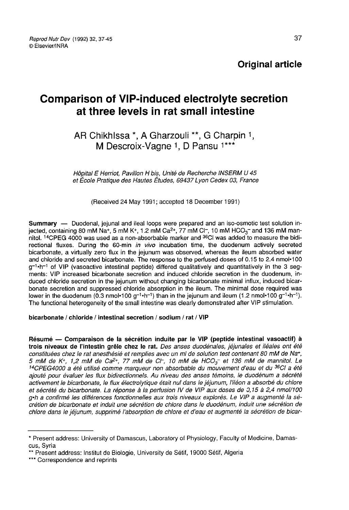# Comparison of VIP-induced electrolyte secretion at three levels in rat small intestine

# AR Chikhlssa \*, A Gharzouli \*\*, G Charpin 1, M Descroix-Vagne 1. D Pansu 1\*\*\*

Hôpital E Nerriot, Pavillon H bis, Unité de Recherche INSERM U 45 et École Pratique des Hautes Études, 69437 Lyon Cedex 03, France

(Received 24 May 1991; accepted 18 December 1991)

Summary ― Duodenal, jejunal and ileal loops were prepared and an iso-osmotic test solution in-**Summary** — Duodenal, jejunal and ileal loops were prepared and an iso-osmotic test solution in-<br>jected, containing 80 mM Na+, 5 mM K+, 1.2 mM Ca<sup>2+</sup>, 77 mM Cl<sup>-</sup>, 10 mM HCO<sub>3</sub><sup>-</sup> and 136 mM man-<br>nitol. <sup>14</sup>CPEG 4000 was rectional fluxes. During the 60-min in vivo incubation time, the duodenum actively secreted bicarbonate, a virtually zero flux in the jejunum was observed, whereas the ileum absorbed water<br>and chloride and secreted bicarbonate. The response to the perfused doses of 0.15 to 2.4 nmol-100<br>g<sup>-1</sup>-h<sup>-1</sup> of VIP (vasoact and chloride and secreted bicarbonate. The response to the perfused doses of 0.15 to 2.4 nmol-100  $g^{-1} \cdot h^{-1}$  of VIP (vasoactive intestinal peptide) differed qualitatively and quantitatively in the 3 segments: VIP increased bicarbonate secretion and induced chloride secretion in the duodenum, induced chloride secretion in the jejunum without changing bicarbonate minimal influx, induced bicarbonate secretion and suppressed chloride absorption in the ileum. The minimal dose required was lower in the duodenum (0.3 nmol·100 g<sup>-1</sup>·h<sup>-1</sup>) than in the jejunum and ileum (1.2 nmol·100 g<sup>-1</sup>·h<sup>-1</sup>). The functional heterogeneity of the small intestine was clearly demonstrated after VIP stimulation.

#### bicarbonate / chloride / intestinal secretion / sodium / rat / VIP

Résumé ― Comparaison de la sécrétion induite par le VIP (peptide intestinal vasoactif) à Financial and the University of the sected of the constitute part of the constitution of the constitution of the constitution of the constitution of the constitution of the constitution of the constitution of the constitu 5 mM de K<sup>+</sup>, 1,2 mM de Ca<sup>2+</sup>, 77 mM de C $\vdash$ , 10 mM de HCO<sub>3</sub><sup>-</sup> et 136 mM de mannitol. Le<br><sup>14</sup>CPEG4000 a été utilisé comme marqueur non absorbable du mouvement d'eau et du <sup>36</sup>CI a été ajouté pour évaluer les flux bidirectionnels. Au niveau des anses témoins, le duodénum a sécrété activement le bicarbonate, le flux électrolytique était nul dans le jéjunum, l'iléon a absorbé du chlore et sécrété du bicarbonate. La réponse à la perfusion IV de VIP aux doses de 0,15 à 2,4 nmoll100 g-h a confirmé les différences fonctionnelles aux trois niveaux explorés. Le VIP a augmenté la sécrétion de bicarbonate et induit une sécrétion de chlore dans le duodénum, induit une sécrétion de chlore dans le jéjunum, supprimé l'absorption de chlore et d'eau et augmenté la sécrétion de bicar-

<sup>\*</sup> Present address: University of Damascus, Laboratory of Physiology, Faculty of Medicine, Damascus, Syria

<sup>\*\*</sup> Present address: Institut de Biologie, University de Sétif, 19000 Sétif, Algeria

<sup>\*\*\*</sup> Correspondence and reprints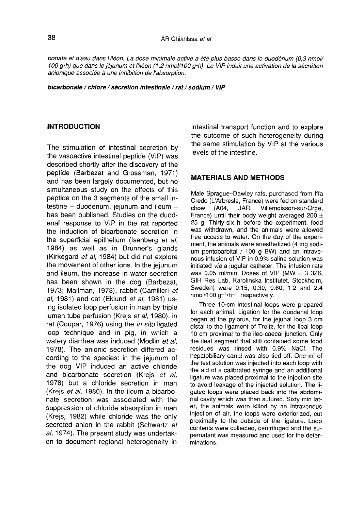bonate et d'eau dans l'iléon. La dose minimale active a été plus basse dans le duodénum (0,3 nmol/ 100 g·h) que dans le jéjunum et l'iléon (1.2 nmol/1 00 g·h). Le VIP induit une activation de la sécrétion anionique associée à une inhibition de l'absorption.

bicarbonate / chlore / sécrétion intestinale / rat / sodium / VIP

#### INTRODUCTION

The stimulation of intestinal secretion by the vasoactive intestinal peptide (VIP) was described shortly after the discovery of the peptide (Barbezat and Grossman, 1971) and has been largely documented, but no simultaneous study on the effects of this peptide on the 3 segments of the small intestine  $-$  duodenum, jejunum and ileum  $$ has been published. Studies on the duodenal response to VIP in the rat reported the induction of bicarbonate secretion in the superficial epithelium (Isenberg et al, 1984) as well as in Brunner's glands (Kirkegard et al, 1984) but did not explore the movement of other ions. In the jejunum and ileum, the increase in water secretion has been shown in the dog (Barbezat, 1973; Mailman, 1978), rabbit (Camilleri et al, 1981) and cat (Eklund et al, 1981) using isolated loop perfusion in man by triple lumen tube perfusion (Krejs et al, 1980), in rat (Coupar, 1976) using the in situ ligated loop technique and in pig, in which a watery diarrhea was induced (Modlin et al, 1978). The anionic secretion differed according to the species: in the jejunum of the dog VIP induced an active chloride and bicarbonate secretion (Krejs et al, 1978) but a chloride secretion in man (Krejs et al, 1980). In the ileum a bicarbonate secretion was associated with the suppression of chloride absorption in man (Krejs, 1982) while chloride was the only secreted anion in the rabbit (Schwartz et al, 1974). The present study was undertaken to document regional heterogeneity in

intestinal transport function and to explore the outcome of such heterogeneity during the same stimulation by VIP at the various levels of the intestine.

# **MATERIALS AND METHODS**

Male Sprague-Dawley rats, purchased from lffa Credo (L'Arbresle, France) were fed on standard<br>chow (A04, UAR, Villemoisson-sur-Orge, Villemoisson-sur-Orge, France) until their body weight averaged 200  $\pm$ 25 g. Thirty-six h before the experiment, food was withdrawn, and the animals were allowed free access to water. On the day of the experiment, the animals were anesthetized (4 mg sodium pentobarbital / 100 g BW) and an intravenous infusion of VIP in 0.9% saline solution was initiated via a jugular catheter. The infusion rate was 0.05 ml/min. Doses of VIP (MW =  $3\,326$ , GIH Res Lab, Karolinska Institutet, Stockholm, Sweden) were 0.15, 0.30, 0.60, 1.2 and 2.4 nmol-100 g<sup>-1</sup>-h<sup>-1</sup>, respectively.

Three 10-cm intestinal loops were prepared for each animal. Ligation for the duodenal loop began at the pylorus, for the jejunal loop 3 cm distal to the ligament of Treitz, for the ileal loop 10 cm proximal to the ileo-caecal junction. Only the ileal segment that still contained some food residues was rinsed with 0.9% NaCI. The hepatobiliary canal was also tied off. One ml of the test solution was injected into each loop with the aid of a calibrated syringe and an additional ligature was placed proximal to the injection site to avoid leakage of the injected solution. The ligated loops were placed back into the abdominal cavity which was then sutured. Sixty min later, the animals were killed by an intravenous injection of air, the loops were exteriorized, cut proximally to the outside of the ligature. Loop contents were collected, centrifuged and the supernatant was measured and used for the determinations.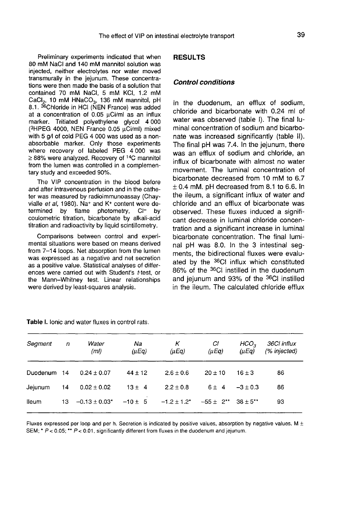Preliminary experiments indicated that when 80 mM NaCI and 140 mM mannitol solution was injected, neither electrolytes nor water moved transmurally in the jejunum. These concentrations were then made the basis of a solution that contained 70 mM NaCI, 5 mM KC], 1.2 mM rijected, Henrier electrolytes flor water inoved<br>transmurally in the jejunum. These concentra-<br>tions were then made the basis of a solution that<br>contained 70 mM NaCl, 5 mM KCl, 1.2 mM<br>CaCl<sub>2</sub>, 10 mM HNaCO<sub>3</sub>, 136 mM mannit CaCl<sub>2</sub>, 10 mM  $HMaCO<sub>3</sub>$ , 136 mM mannitol, pH 8.1. <sup>36</sup>Chloride in HCI (NEN France) was added at a concentration of 0.05  $\mu$ Ci/ml as an influx marker. Tritiated polyethylene glycol 4 000<br>(<sup>3</sup>HPEG 4000, NEN France 0.05 µCi/ml) mixed 8.1. <sup>36</sup>Chloride in HCl (NEN France) was added<br>at a concentration of 0.05 µCi/ml as an influx<br>marker. Tritiated polyethylene glycol 4 000<br>(<sup>3</sup>HPEG 4000, NEN France 0.05 µCi/ml) mixed<br>with 5 g/l of cold PEG 4 000 was used with 5 g/l of cold PEG 4 000 was used as a nonabsorbable marker. Only those experiments where recovery of labeled PEG 4 000 was  $\geq$  88% were analyzed. Recovery of <sup>14</sup>C mannitol from the lumen was controlled in a complementary study and exceeded 90%.

The VIP concentration in the blood before and after intravenous perfusion and in the catheter was measured by radioimmunoassay (Chayvialle et al, 1980). Na<sup>+</sup> and K<sup>+</sup> content were determined by flame photometry, CI- by coulometric titration, bicarbonate by alkali-acid titration and radioactivity by liquid scintillometry.

Comparisons between control and experimental situations were based on means derived from 7-14 loops. Net absorption from the lumen was expressed as a negative and net secretion as a positive value. Statistical analyses of differences were carried out with Student's t-test, or the Mann-Whitney test. Linear relationships were derived by least-squares analysis.

# **RESULTS**

#### Control conditions

In the duodenum, an efflux of sodium, chloride and bicarbonate with 0.24 ml of water was observed (table I). The final luminal concentration of sodium and bicarbonate was increased significantly (table II). The final pH was 7.4. In the jejunum, there was an efflux of sodium and chloride, an influx of bicarbonate with almost no water movement. The luminal concentration of bicarbonate decreased from 10 mM to 6.7  $± 0.4$  mM, pH decreased from 8.1 to 6.6. In the ileum, a significant influx of water and chloride and an efflux of bicarbonate was observed. These fluxes induced a signifi cant decrease in luminal chloride concentration and a significant increase in luminal bicarbonate concentration. The final luminal pH was 8.0. In the 3 intestinal segments, the bidirectional fluxes were evaluated by the 36CI influx which constituted 86% of the 36CI instilled in the duodenum and jejunum and 93% of the <sup>36</sup>CI instilled in the ileum. The calculated chloride efflux

| Segment     | $\sqrt{n}$ | Water<br>(ml)      | Na<br>$(\mu Eq)$ | К<br>$(\mu Ea)$  | СI<br>$(\mu Eq)$             | HCO <sub>2</sub><br>$(\mu Eq)$ | 36Cl influx<br>(% injected) |
|-------------|------------|--------------------|------------------|------------------|------------------------------|--------------------------------|-----------------------------|
| Duodenum 14 |            | $0.24 \pm 0.07$    | $44 \pm 12$      | $2.6 \pm 0.6$    | $20 \pm 10$                  | $16 \pm 3$                     | 86                          |
| Jejunum     | 14         | $0.02 \pm 0.02$    | $13 \pm 4$       | $2.2 + 0.8$      | $6 \pm 4$                    | $-3 \pm 0.3$                   | 86                          |
| lleum       | 13.        | $-0.13 \pm 0.03$ * | $-10 \pm 5$      | $-1.2 \pm 1.2^*$ | $-55 \pm 2$ ** 38 $\pm 5$ ** |                                | 93                          |

Table I, lonic and water fluxes in control rats.

Fluxes expressed per loop and per h. Secretion is indicated by positive values, absorption by negative values. M  $\pm$ SEM; \*  $P < 0.05$ ; \*\*  $P < 0.01$ , significantly different from fluxes in the duodenum and jejunum.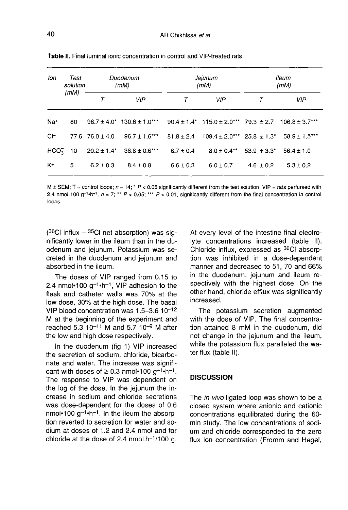| lon             | Test<br>solution<br>(mM) | Duodenum<br>(mM)      |                                                                                                              | Jejunum<br>(mM) |                                                    | lleum<br>(mM)                                     |                |
|-----------------|--------------------------|-----------------------|--------------------------------------------------------------------------------------------------------------|-----------------|----------------------------------------------------|---------------------------------------------------|----------------|
|                 |                          |                       | <b>VIP</b>                                                                                                   |                 | <b>VIP</b>                                         |                                                   | <b>VIP</b>     |
| Na <sup>+</sup> | 80                       |                       | $96.7 \pm 4.0$ * $130.6 \pm 1.0$ *** $90.4 \pm 1.4$ * $115.0 \pm 2.0$ *** 79.3 $\pm 2.7$ 106.8 $\pm 3.7$ *** |                 |                                                    |                                                   |                |
| $C$ –           |                          | $77.6$ $76.0 \pm 4.0$ | $96.7 \pm 1.6$ *** $81.8 + 2.4$                                                                              |                 | $109.4 + 2.0***$ 25.8 $\pm 1.3*$ 58.9 $\pm 1.5***$ |                                                   |                |
| $HCO3$ 10       |                          |                       | $20.2 \pm 1.4^*$ 38.8 $\pm$ 0.6***                                                                           | $6.7 \pm 0.4$   |                                                    | $8.0 + 0.4$ <sup>**</sup> 53.9 + 3.3 <sup>*</sup> | $56.4 \pm 1.0$ |
| K+              | 5                        | $6.2 + 0.3$           | $8.4 + 0.8$                                                                                                  | $6.6 \pm 0.3$   | $6.0 \pm 0.7$                                      | $4.6 \pm 0.2$                                     | $5.3 \pm 0.2$  |

Table II. Final luminal ionic concentration in control and VIP-treated rats.

 $M \pm$  SEM; T = control loops;  $n = 14$ ; \* P < 0.05 significantly different from the test solution; VIP = rats perfursed with 2.4 nmol 100 g<sup>-1</sup>-h<sup>-1</sup>,  $n = 7$ ; \*\*  $P < 0.05$ ; \*\*\*  $P < 0.01$ , significantly different from the final concentration in control loops.

 $(^{36}C1$  influx -  $^{35}C1$  net absorption) was significantly lower in the ileum than in the duodenum and jejunum. Potassium was secreted in the duodenum and jejunum and absorbed in the ileum.

The doses of VIP ranged from 0.15 to<br>2.4 nmol•100  $q^{-1}$ •h<sup>-1</sup>. VIP adhesion to the  $2.4$  nmol•100 g<sup>-1</sup>·h<sup>-1</sup>, VIP adhesion to the flask and catheter walls was 70% at the low dose, 30% at the high dose. The basal VIP blood concentration was  $1.5-3.6$   $10^{-12}$ M at the beginning of the experiment and reached  $5.3 \times 10^{-11}$  M and  $5.7 \times 10^{-9}$  M after the low and high dose respectively.

In the duodenum (fig 1) VIP increased the secretion of sodium, chloride, bicarbonate and water. The increase was significant with doses of  $\geq 0.3$  nmol•100 g<sup>-1</sup>·h<sup>-1</sup>. The response to VIP was dependent on the log of the dose. In the jejunum the increase in sodium and chloride secretions was dose-dependent for the doses of 0.6 nmol•100  $q^{-1}$ ·h<sup>-1</sup>. In the ileum the absorption reverted to secretion for water and sodium at doses of 1.2 and 2.4 nmol and for crease in sodium and chloride secretions<br>was dose-dependent for the doses of 0.6<br>nmol•100 g<sup>-1</sup>•h<sup>-1</sup>. In the ileum the absorp-<br>tion reverted to secretion for water and so-<br>dium at doses of 1.2 and 2.4 nmol and for<br>chlori At every level of the intestine final electrolyte concentrations increased (table II). Chloride influx, expressed as <sup>36</sup>CI absorp-<br>tion was inhibited in a dose-dependent manner and decreased to 51, 70 and 66% in the duodenum, jejunum and ileum respectively with the highest dose. On the other hand, chloride efflux was significantly increased.

The potassium secretion augmented with the dose of VIP. The final concentration attained 8 mM in the duodenum, did not change in the jejunum and the ileum, while the potassium flux paralleled the water flux (table II).

### **DISCUSSION**

The *in vivo* ligated loop was shown to be a closed system where anionic and cationic concentrations equilibrated during the 60 min study. The low concentrations of sodium and chloride corresponded to the zero flux ion concentration (Fromm and Hegel,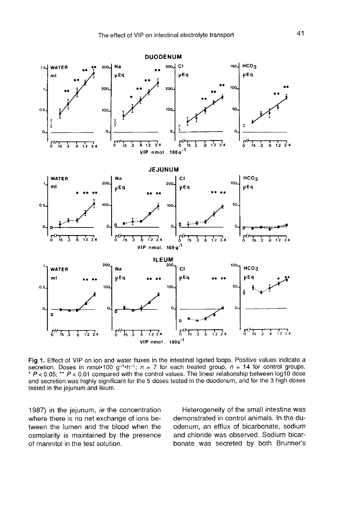

Fig 1. Effect of VIP on ion and water fluxes in the intestinal ligated loops. Positive values indicate a secretion. Doses in nmol•100 g<sup>-1</sup>•h<sup>-1</sup>;  $n = 7$  for each treated group,  $n = 14$  for control groups. \*  $P < 0.05$ ; \*\*  $P < 0.01$  compared with the control values. The linear relationship between log10 dose and secretion was highly significant for the 5 doses tested in the duodenum, and for the 3 high doses tested in the jejunum and ileum.

1987) in the jejunum, ie the concentration where there is no net exchange of ions between the lumen and the blood when the osmolarity is maintained by the presence of mannitol in the test solution.

Heterogeneity of the small intestine was demonstrated in control animals. In the duodenum, an efflux of bicarbonate, sodium and chloride was observed. Sodium bicarbonate was secreted by both Brunner's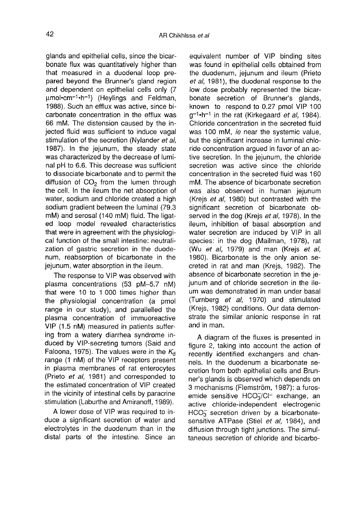glands and epithelial cells, since the bicarbonate flux was quantitatively higher than that measured in a duodenal loop prepared beyond the Brunner's gland region and dependent on epithelial cells only (7  $umol$  $em^{-1}$  $\cdot h^{-1}$ ) (Heylings and Feldman, 1988). Such an efflux was active, since bicarbonate concentration in the efflux was 66 mM. The distension caused by the injected fluid was sufficient to induce vagal stimulation of the secretion (Nylander et al, 1987). In the jejunum, the steady state was characterized by the decrease of luminal pH to 6.6. This decrease was sufficient to dissociate bicarbonate and to permit the diffusion of  $CO<sub>2</sub>$  from the lumen through the cell. In the ileum the net absorption of water, sodium and chloride created a high sodium gradient between the luminal (79.3) mM) and serosal (140 mM) fluid. The ligated loop model revealed characteristics that were in agreement with the physiological function of the small intestine: neutralization of gastric secretion in the duodenum, reabsorption of bicarbonate in the jejunum, water absorption in the ileum.

The response to VIP was observed with plasma concentrations (53 pM-5.7 nM) that were 10 to 1 000 times higher than the physiologial concentration (a pmol range in our study), and parallelled the plasma concentration of immuoreactive VIP (1.5 nM) measured in patients suffering from a watery diarrhea syndrome induced by VIP-secreting tumors (Said and Faloona, 1975). The values were in the  $K_d$ range (1 nM) of the VIP receptors present in plasma membranes of rat enterocytes (Prieto et al, 1981) and corresponded to the estimated concentration of VIP created in the vicinity of intestinal cells by paracrine stimulation (Laburthe and Amiranoff, 1989).

A lower dose of VIP was required to induce a significant secretion of water and electrolytes in the duodenum than in the distal parts of the intestine. Since an equivalent number of VIP binding sites was found in epithelial cells obtained from the duodenum, jejunum and ileum (Prieto et al, 1981), the duodenal response to the low dose probably represented the bicarbonate secretion of Brunner's glands, known to respond to 0.27 pmol VIP 100  $q^{-1}$ -h<sup>-1</sup> in the rat (Kirkegaard et al, 1984). Chloride concentration in the secreted fluid was 100 mM, ie near the systemic value, but the significant increase in luminal chloride concentration argued in favor of an active secretion. In the jejunum, the chloride secretion was active since the chloride concentration in the secreted fluid was 160 mM. The absence of bicarbonate secretion was also observed in human jejunum (Krejs et al, 1980) but contrasted with the significant secretion of bicarbonate observed in the dog (Krejs et al, 1978). In the ileum, inhibition of basal absorption and water secretion are induced by VIP in all species: in the dog (Mailman, 1978), rat (Wu et al, 1979) and man (Krejs et al, 1980). Bicarbonate is the only anion secreted in rat and man (Krejs, 1982). The absence of bicarbonate secretion in the jejunum and of chloride secretion in the ileum was demonstrated in man under basal (Turnberg et al, 1970) and stimulated (Krejs, 1982) conditions. Our data demonstrate the similar anionic response in rat and in man.

A diagram of the fluxes is presented in figure 2, taking into account the action of recently identified exchangers and channels. In the duodenum a bicarbonate secretion from both epithelial cells and Brunner's glands is observed which depends on 3 mechanisms (Flemström, 1987): a furosemide sensitive  $HCO<sub>3</sub>/Cl<sup>-</sup>$  exchange, an active chloride-independent electrogenic  $HCO<sub>3</sub><sup>-</sup>$  secretion driven by a bicarbonatesensitive ATPase (Stiel et al, 1984), and diffusion through tight junctions. The simultaneous secretion of chloride and bicarbo-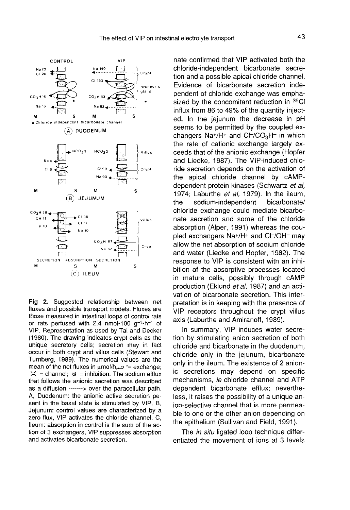

Fig 2. Suggested relationship between net fluxes and possible transport models. Fluxes are those measured in intestinal loops of control rats or rats perfused with 2.4 nmol-100  $q^{-1}$ -h<sup>-1</sup> of VIP. Representation as used by Tai and Decker (1980). The drawing indicates crypt cells as the unique secretory cells; secretion may in fact occur in both crypt and villus cells (Stewart and Turnberg, 1989). The numerical values are the mean of the net fluxes in  $\mu$ mol/h, $\sigma^*$  = exchange;  $\Xi$  = channel;  $\chi$  = inhibition. The sodium efflux that follows the anionic secretion was described as a diffusion -------> over the paracellular path. A, Duodenum: the anionic active secretion pesent in the basal state is stimulated by VIP. B, Jejunum: control values are characterized by a zero flux, VIP activates the chloride channel. C, lleum: absorption in control is the sum of the action of 3 exchangers, VIP suppresses absorption and activates bicarbonate secretion.

nate confirmed that VIP activated both the chloride-independent bicarbonate secretion and a possible apical chloride channel. Evidence of bicarbonate secretion independent of chloride exchange was emphasized by the concomitant reduction in  $36$ CI<br>influx from 86 to 49% of the quantity inject-<br>ed. In the jejunum the decrease in pH<br>seems to be permitted by the coupled ex-<br>changers Na+/H+ and Cl-/CO<sub>3</sub>H- in which<br>the rate o influx from 86 to 49% of the quantity injected. In the jejunum the decrease in pH seems to be permitted by the coupled ex-<br>changers  $\text{Na+}/\text{H+}$  and  $\text{Cl-}/\text{CO}_3\text{H-}$  in which the rate of cationic exchange largely exceeds that of the anionic exchange (Hopfer and Liedke, 1987). The VIP-induced chloride secretion depends on the activation of the apical chloride channel by cAMPdependent protein kinases (Schwartz et al, 1974; Laburthe *et al*, 1979). In the ileum,<br>the sodium-independent bicarbonate/ the sodium-independent chloride exchange could mediate bicarbonate secretion and some of the chloride absorption (Alper, 1991) whereas the coupled exchangers Na+/H+ and Cl-/OH- may allow the net absorption of sodium chloride and water (Liedke and Hopfer, 1982). The response to VIP is consistent with an inhibition of the absorptive processes located in mature cells, possibly through cAMP production (Eklund et al, 1987) and an activation of bicarbonate secretion. This interpretation is in keeping with the presence of VIP receptors throughout the crypt villus axis (Laburthe and Amiranoff, 1989).

In summary, VIP induces water secretion by stimulating anion secretion of both chloride and bicarbonate in the duodenum, chloride only in the jejunum, bicarbonate only in the ileum. The existence of 2 anionic secretions may depend on specific mechanisms, ie chloride channel and ATP dependent bicarbonate efflux; nevertheless, it raises the possibility of a unique anion-selective channel that is more permeable to one or the other anion depending on the epithelium (Sullivan and Field, 1991).

The in situ ligated loop technique differentiated the movement of ions at 3 levels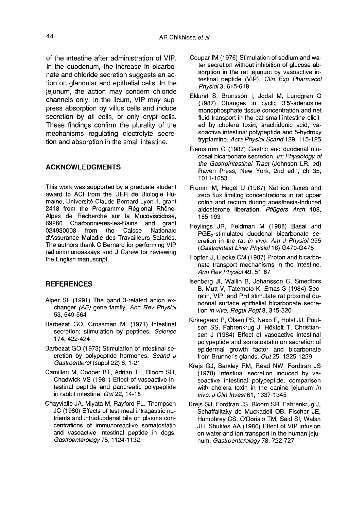of the intestine after administration of VIP. In the duodenum, the increase in bicarbonate and chloride secretion suggests an action on glandular and epithelial cells. In the jejunum, the action may concern chloride channels only. In the ileum, VIP may suppress absorption by villus cells and induce secretion by all cells, or only crypt cells. These findings confirm the plurality of the mechanisms regulating electrolyte secretion and absorption in the small intestine.

### ACKNOWLEDGMENTS

This work was supported by a graduate student award to ACI from the UER de Biologie Humaine, Université Claude Bernard Lyon 1, grant 2418 from the Programme Regional Rh6ne-Alpes de Recherche sur la Mucoviscidose, Charbonnières-les-Bains and grant<br>08 from the Caisse Nationale 024930008 d'Assurance Maladie des Travailleurs Salariés. The authors thank C Bernard for performing VIP radioimmunoassays and J Carew for reviewing the English manuscript.

#### **REFERENCES**

- Alper SL (1991) The band 3-related anion exchanger (AE) gene family. Ann Rev Physiol 53, 549-564
- Barbezat GO, Grossman MI (1971) Intestinal secretion: stimulation by peptides. Science 174, 422-424
- Barbezat GO (1973) Stimulation of intestinal secretion by polypeptide hormones. Scand J Gastroenterol (suppl 22) 8, 1-21
- Camilleri M, Cooper BT, Adrian TE, Bloom SR, Chadwick VS (1981) Effect of vasoactive intestinal peptide and pancreatic polypeptide in rabbit intestine. Gut 22, 14-18
- Chayvialle JA, Miyata M, Rayford PL, Thompson JC (1980) Effects of test-meal intragastric nutrients and intraduodenal bile on plasma concentrations of immunoreactive somatostatin and vasoactive intestinal peptide in dogs. Gastroenterology 75, 1124-1132
- Coupar IM (1976) Stimulation of sodium and water secretion without inhibition of glucose absorption in the rat jejunum by vasoactive intestinal peptide (VIP). Clin Exp Pharmacol Physiol 3, 615-618
- Eklund S, Brunsson I, Jodal M, Lundgren 0 (1987) Changes in cyclic 3'5'-adenosine monophosphate tissue concentration and net fluid transport in the cat small intestine elicited by cholera toxin, arachidonic acid, vasoactive intestinal polypeptide and 5-hydroxy tryptamine. Acta Physiol Scand 129, 115-125
- Flemström G (1987) Gastric and duodenal mucosal bicarbonate secretion. In: Physiology of<br>the Gastrointestinal Tract (Johnson LR, ed) Raven Press, New York, 2nd edn, ch 35, 1011-1053
- Fromm M, Hegel U (1987) Net ion fluxes and zero flux limiting concentrations in rat upper colon and rectum during anesthesia-induced aldosterone liberation. Pflügers Arch 408, 185-193
- Heylings JR, Feldman M (1988) Basal and PGE<sub>2</sub>-stimulated duodenal bicarbonate secretion in the rat in vivo. Am J Physiol 255 (Gastrointest Liver Physiol 18) G470-G475
- Hopfer U, Liedke CM (1987) Proton and bicarbonate transport mechanisms in the intestine. Ann Rev Physiol 49, 51-67
- Isenberg JI, Wallin B, Johansson C, Smedfors B, Mutt V, Tatemoto K, Emas S (1984) Secretin, VIP, and PHI stimulate rat proximal duodenal surface epithelial bicarbonate secretion in vivo. Regul Pept 8, 315-320
- Kirkegaard P, Olsen PS, Nexo E, Holst JJ, Poulsen SS, Fahrenkrug J, Hökfelt T, Christiansen J (1984) Effect of vasoactive intestinal polypeptide and somatostatin on secretion of epidermal growth factor and bicarbonate from Brunner's glands. Gut25, 1225-1229
- Krejs GJ, Barkley RM, Read NW, Fordtran JS (1978) Intestinal secretion induced by vasoactive intestinal polypeptide, comparison with cholera toxin in the canine jejunum in vivo. J Clin Invest 61, 1337-1345
- Krejs GJ, Fordtran JS, Bloom SR, Fahrenkrug J, Schaffalitzky de Muckadell OB, Fischer JE, Humphrey CS, O'Dorisio TM, Said SI, Walsh JH, Shukles AA (1980) Effect of VIP infusion on water and ion transport in the human jeju num. Gastroenterology 78, 722-727